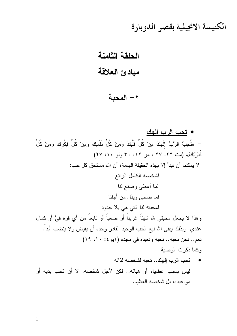الكنيسة الانجيلية بقصر الدوبارة

## الحلقة الثامنة

## مبادئ العلاقة

## ٢ – المحبة

## • تحب الرب الهك

– «تُحِبُّ الرَّبَّ إِلَهَكَ مِنْ كُلِّ قَلْبِكَ وَمِنْ كُلِّ نَفْسِكَ وَمِنْ كُلِّ فِكْرِكَ وَمِنْ كُلِّ قُدْرَتِكَ» (مت ٢٢: ٢٧ ، مر ٢١: ٣٠ ولو ٢٠: ٢٧) لا يمكننا أن نبدأ إلا بهذه الحقيقة الهامة؛ أن الله مستحق كل حب: لشخصه الكامل الرائع لما أعطي وصنع لنا لما ضحى وبذل من أجلنا لمحبته لنا التي هي بلا حدود وهذا لا يجعل محبتي لله شيئاً غريباً أو صعباً أو نابعاً من أي قوة فيَّ أو كمال عندي. وبذلك ببقى الله نبع الحب الوحيد القادر وحده أن يفيض ولا ينضب أبداً. نعم.. نحن نحبه.. نحبه ونعبده في مجده (ايو ٤: ١٠، ١٩) وكما ذكرت الوصية

تحب الرب إلهك.. تحبه لشخصه لذاته ليس بسبب عطاياه أو هباته.. لكن لأجل شخصه. لا أن تحب يديه أو مو اعبده، بل شخصه العظیم.